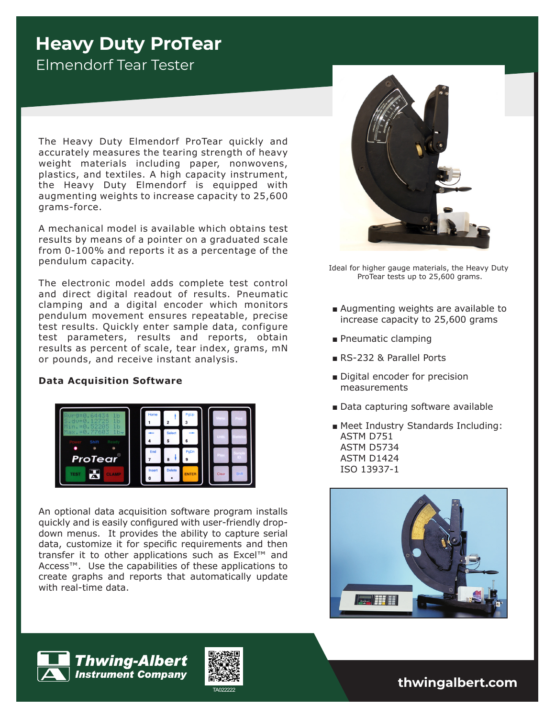# **Heavy Duty ProTear**

Elmendorf Tear Tester

The Heavy Duty Elmendorf ProTear quickly and accurately measures the tearing strength of heavy weight materials including paper, nonwovens, plastics, and textiles. A high capacity instrument, the Heavy Duty Elmendorf is equipped with augmenting weights to increase capacity to 25,600 grams-force.

A mechanical model is available which obtains test results by means of a pointer on a graduated scale from 0-100% and reports it as a percentage of the pendulum capacity.

The electronic model adds complete test control and direct digital readout of results. Pneumatic clamping and a digital encoder which monitors pendulum movement ensures repeatable, precise test results. Quickly enter sample data, configure test parameters, results and reports, obtain results as percent of scale, tear index, grams, mN or pounds, and receive instant analysis.

#### **Data Acquisition Software**



An optional data acquisition software program installs quickly and is easily configured with user-friendly dropdown menus. It provides the ability to capture serial data, customize it for specific requirements and then transfer it to other applications such as Excel™ and Access™. Use the capabilities of these applications to create graphs and reports that automatically update with real-time data.



Ideal for higher gauge materials, the Heavy Duty ProTear tests up to 25,600 grams.

- Augmenting weights are available to increase capacity to 25,600 grams
- Pneumatic clamping
- RS-232 & Parallel Ports
- Digital encoder for precision measurements
- Data capturing software available
- Meet Industry Standards Including: ASTM D751 ASTM D5734 ASTM D1424 ISO 13937-1





TA022222 **thwingalbert.com**